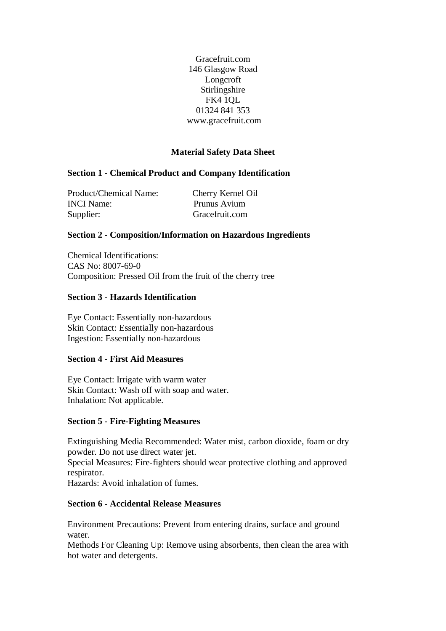Gracefruit.com 146 Glasgow Road Longcroft Stirlingshire FK4 1QL 01324 841 353 www.gracefruit.com

## **Material Safety Data Sheet**

### **Section 1 - Chemical Product and Company Identification**

Product/Chemical Name: Cherry Kernel Oil INCI Name: Prunus Avium Supplier: Gracefruit.com

#### **Section 2 - Composition/Information on Hazardous Ingredients**

Chemical Identifications: CAS No: 8007-69-0 Composition: Pressed Oil from the fruit of the cherry tree

#### **Section 3 - Hazards Identification**

Eye Contact: Essentially non-hazardous Skin Contact: Essentially non-hazardous Ingestion: Essentially non-hazardous

#### **Section 4 - First Aid Measures**

Eye Contact: Irrigate with warm water Skin Contact: Wash off with soap and water. Inhalation: Not applicable.

#### **Section 5 - Fire-Fighting Measures**

Extinguishing Media Recommended: Water mist, carbon dioxide, foam or dry powder. Do not use direct water jet.

Special Measures: Fire-fighters should wear protective clothing and approved respirator.

Hazards: Avoid inhalation of fumes.

### **Section 6 - Accidental Release Measures**

Environment Precautions: Prevent from entering drains, surface and ground water.

Methods For Cleaning Up: Remove using absorbents, then clean the area with hot water and detergents.